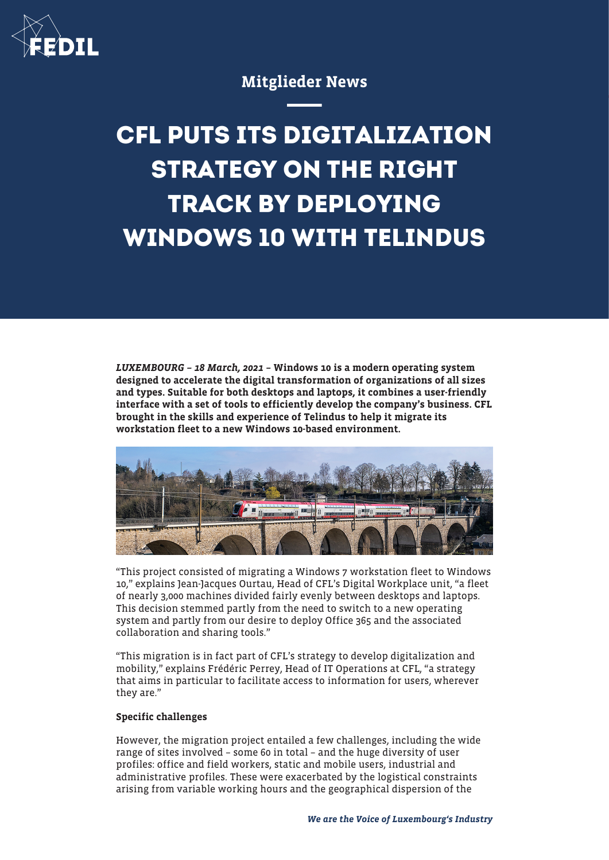

# Mitglieder News

# **CFL PUTS ITS DIGITALIZATION STRATEGY ON THE RIGHT TRACK BY DEPLOYING WINDOWS 10 WITH TELINDUS**

LUXEMBOURG – 18 March, 2021 – Windows 10 is a modern operating system designed to accelerate the digital transformation of organizations of all sizes and types. Suitable for both desktops and laptops, it combines a user-friendly interface with a set of tools to efficiently develop the company's business. CFL brought in the skills and experience of Telindus to help it migrate its workstation fleet to a new Windows 10-based environment.



"This project consisted of migrating a Windows 7 workstation fleet to Windows 10," explains Jean-Jacques Ourtau, Head of CFL's Digital Workplace unit, "a fleet of nearly 3,000 machines divided fairly evenly between desktops and laptops. This decision stemmed partly from the need to switch to a new operating system and partly from our desire to deploy Office 365 and the associated collaboration and sharing tools."

"This migration is in fact part of CFL's strategy to develop digitalization and mobility," explains Frédéric Perrey, Head of IT Operations at CFL, "a strategy that aims in particular to facilitate access to information for users, wherever they are."

# Specific challenges

However, the migration project entailed a few challenges, including the wide range of sites involved – some 60 in total – and the huge diversity of user profiles: office and field workers, static and mobile users, industrial and administrative profiles. These were exacerbated by the logistical constraints arising from variable working hours and the geographical dispersion of the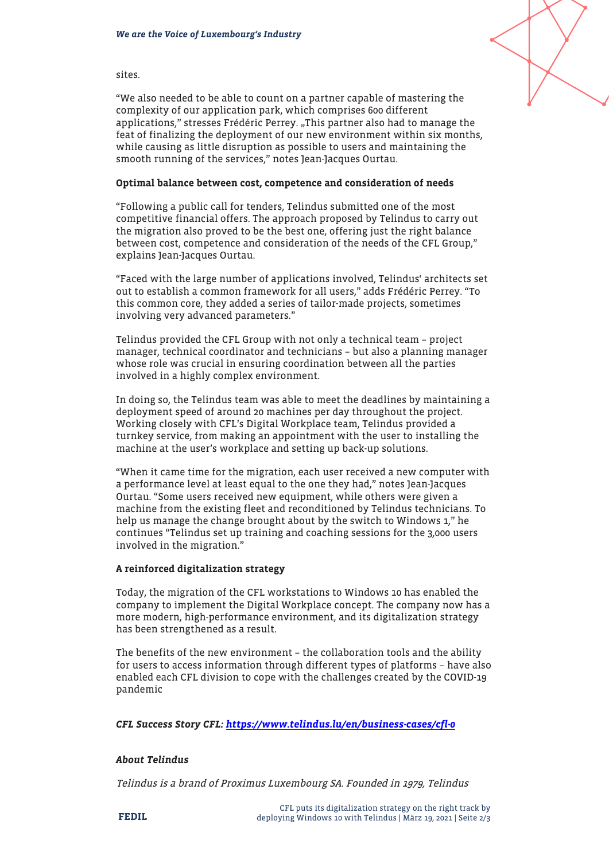

sites.

"We also needed to be able to count on a partner capable of mastering the complexity of our application park, which comprises 600 different applications," stresses Frédéric Perrey. "This partner also had to manage the feat of finalizing the deployment of our new environment within six months, while causing as little disruption as possible to users and maintaining the smooth running of the services," notes Jean-Jacques Ourtau.

# Optimal balance between cost, competence and consideration of needs

"Following a public call for tenders, Telindus submitted one of the most competitive financial offers. The approach proposed by Telindus to carry out the migration also proved to be the best one, offering just the right balance between cost, competence and consideration of the needs of the CFL Group," explains Jean-Jacques Ourtau.

"Faced with the large number of applications involved, Telindus' architects set out to establish a common framework for all users," adds Frédéric Perrey. "To this common core, they added a series of tailor-made projects, sometimes involving very advanced parameters."

Telindus provided the CFL Group with not only a technical team – project manager, technical coordinator and technicians – but also a planning manager whose role was crucial in ensuring coordination between all the parties involved in a highly complex environment.

In doing so, the Telindus team was able to meet the deadlines by maintaining a deployment speed of around 20 machines per day throughout the project. Working closely with CFL's Digital Workplace team, Telindus provided a turnkey service, from making an appointment with the user to installing the machine at the user's workplace and setting up back-up solutions.

"When it came time for the migration, each user received a new computer with a performance level at least equal to the one they had," notes Jean-Jacques Ourtau. "Some users received new equipment, while others were given a machine from the existing fleet and reconditioned by Telindus technicians. To help us manage the change brought about by the switch to Windows 1," he continues "Telindus set up training and coaching sessions for the 3,000 users involved in the migration."

# A reinforced digitalization strategy

Today, the migration of the CFL workstations to Windows 10 has enabled the company to implement the Digital Workplace concept. The company now has a more modern, high-performance environment, and its digitalization strategy has been strengthened as a result.

The benefits of the new environment – the collaboration tools and the ability for users to access information through different types of platforms – have also enabled each CFL division to cope with the challenges created by the COVID-19 pandemic

CFL Success Story CFL: <https://www.telindus.lu/en/business-cases/cfl-0>

# About Telindus

Telindus is a brand of Proximus Luxembourg SA. Founded in 1979, Telindus